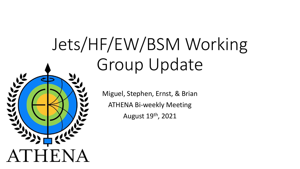# Jets/HF/EW/BSM Working Group Update



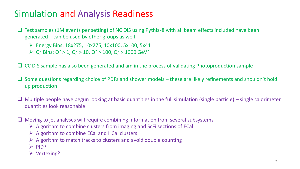## Simulation and Analysis Readiness

- Test samples (1M events per setting) of NC DIS using Pythia-8 with all beam effects included have been generated – can be used by other groups as well
	- $\triangleright$  Energy Bins: 18x275, 10x275, 10x100, 5x100, 5x41
	- $\ge Q^2$  Bins:  $Q^2 > 1$ ,  $Q^2 > 10$ ,  $Q^2 > 100$ ,  $Q^2 > 1000$  GeV<sup>2</sup>
- ❑ CC DIS sample has also been generated and am in the process of validating Photoproduction sample
- ❑ Some questions regarding choice of PDFs and shower models these are likely refinements and shouldn't hold up production
- $\Box$  Multiple people have begun looking at basic quantities in the full simulation (single particle) single calorimeter quantities look reasonable
- ❑ Moving to jet analyses will require combining information from several subsystems
	- $\triangleright$  Algorithm to combine clusters from imaging and ScFi sections of ECal
	- $\triangleright$  Algorithm to combine ECal and HCal clusters
	- $\triangleright$  Algorithm to match tracks to clusters and avoid double counting
	- ➢ PID?
	- ➢ Vertexing?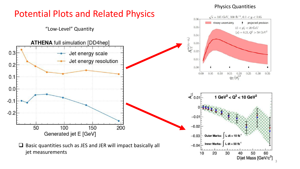#### Physics Quantities

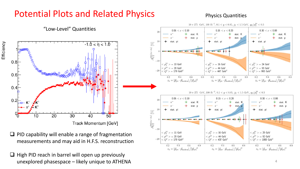## Potential Plots and Related Physics

#### Physics Quantities



 $179 \text{ GeV}$ 

0.4  $z_h = |\vec{p}_{\rm jet} \cdot \vec{p}_{\rm hadron}| / |\vec{p}_{\rm jet}|^2$ 

 $0.6$ 

 $0.8$ 

 $0.2$ 

 $0.6$ 

 $z_h = |\vec{p}_{\rm jet} \cdot \vec{p}_{\rm hadron}| / |\vec{p}_{\rm jet}|^2$ 

 $0.8$ 

 $0.2$ 

 $0.2$ 

measurements and may aid in H.F.S. reconstruction

Efficiency

❑ High PID reach in barrel will open up previously unexplored phasespace – likely unique to ATHENA <sup>4</sup>  $0.6$ 

 $0.8$ 

 $0.4$ 

 $z_h = |\vec{p}_{\rm jet} \cdot \vec{p}_{\rm hadron}| / |\vec{p}_{\rm jet}|^2$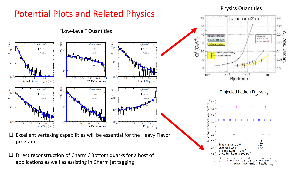

Physics Quantities